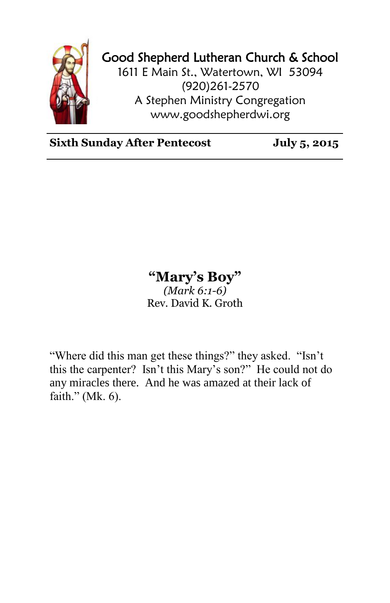

## Good Shepherd Lutheran Church & School

1611 E Main St., Watertown, WI 53094 (920)261-2570 A Stephen Ministry Congregation [www.goodshepherdwi.org](http://www.goodshepherdwi.org/)

**Sixth Sunday After Pentecost July 5, 2015**

## **"Mary's Boy"**

*(Mark 6:1-6)* Rev. David K. Groth

"Where did this man get these things?" they asked. "Isn't this the carpenter? Isn't this Mary's son?" He could not do any miracles there. And he was amazed at their lack of faith." (Mk. 6).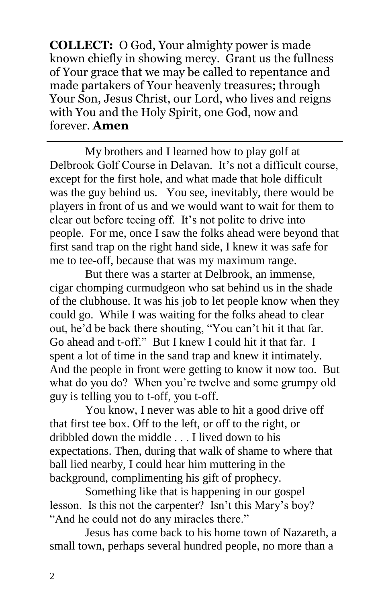**COLLECT:** O God, Your almighty power is made known chiefly in showing mercy. Grant us the fullness of Your grace that we may be called to repentance and made partakers of Your heavenly treasures; through Your Son, Jesus Christ, our Lord, who lives and reigns with You and the Holy Spirit, one God, now and forever. **Amen**

My brothers and I learned how to play golf at Delbrook Golf Course in Delavan. It's not a difficult course, except for the first hole, and what made that hole difficult was the guy behind us. You see, inevitably, there would be players in front of us and we would want to wait for them to clear out before teeing off. It's not polite to drive into people. For me, once I saw the folks ahead were beyond that first sand trap on the right hand side, I knew it was safe for me to tee-off, because that was my maximum range.

But there was a starter at Delbrook, an immense, cigar chomping curmudgeon who sat behind us in the shade of the clubhouse. It was his job to let people know when they could go. While I was waiting for the folks ahead to clear out, he'd be back there shouting, "You can't hit it that far. Go ahead and t-off." But I knew I could hit it that far. I spent a lot of time in the sand trap and knew it intimately. And the people in front were getting to know it now too. But what do you do? When you're twelve and some grumpy old guy is telling you to t-off, you t-off.

You know, I never was able to hit a good drive off that first tee box. Off to the left, or off to the right, or dribbled down the middle . . . I lived down to his expectations. Then, during that walk of shame to where that ball lied nearby, I could hear him muttering in the background, complimenting his gift of prophecy.

Something like that is happening in our gospel lesson. Is this not the carpenter? Isn't this Mary's boy? "And he could not do any miracles there."

Jesus has come back to his home town of Nazareth, a small town, perhaps several hundred people, no more than a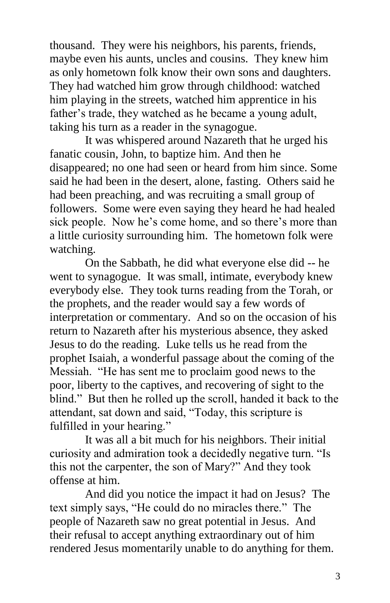thousand. They were his neighbors, his parents, friends, maybe even his aunts, uncles and cousins. They knew him as only hometown folk know their own sons and daughters. They had watched him grow through childhood: watched him playing in the streets, watched him apprentice in his father's trade, they watched as he became a young adult, taking his turn as a reader in the synagogue.

It was whispered around Nazareth that he urged his fanatic cousin, John, to baptize him. And then he disappeared; no one had seen or heard from him since. Some said he had been in the desert, alone, fasting. Others said he had been preaching, and was recruiting a small group of followers. Some were even saying they heard he had healed sick people. Now he's come home, and so there's more than a little curiosity surrounding him. The hometown folk were watching.

On the Sabbath, he did what everyone else did -- he went to synagogue. It was small, intimate, everybody knew everybody else. They took turns reading from the Torah, or the prophets, and the reader would say a few words of interpretation or commentary. And so on the occasion of his return to Nazareth after his mysterious absence, they asked Jesus to do the reading. Luke tells us he read from the prophet Isaiah, a wonderful passage about the coming of the Messiah. "He has sent me to proclaim good news to the poor, liberty to the captives, and recovering of sight to the blind." But then he rolled up the scroll, handed it back to the attendant, sat down and said, "Today, this scripture is fulfilled in your hearing."

It was all a bit much for his neighbors. Their initial curiosity and admiration took a decidedly negative turn. "Is this not the carpenter, the son of Mary?" And they took offense at him.

And did you notice the impact it had on Jesus? The text simply says, "He could do no miracles there." The people of Nazareth saw no great potential in Jesus. And their refusal to accept anything extraordinary out of him rendered Jesus momentarily unable to do anything for them.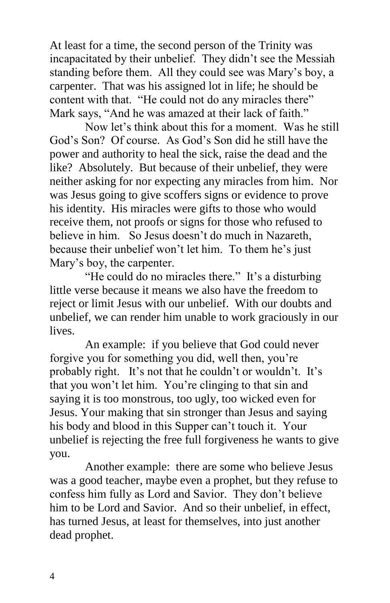At least for a time, the second person of the Trinity was incapacitated by their unbelief. They didn't see the Messiah standing before them. All they could see was Mary's boy, a carpenter. That was his assigned lot in life; he should be content with that. "He could not do any miracles there" Mark says, "And he was amazed at their lack of faith."

Now let's think about this for a moment. Was he still God's Son? Of course. As God's Son did he still have the power and authority to heal the sick, raise the dead and the like? Absolutely. But because of their unbelief, they were neither asking for nor expecting any miracles from him. Nor was Jesus going to give scoffers signs or evidence to prove his identity. His miracles were gifts to those who would receive them, not proofs or signs for those who refused to believe in him. So Jesus doesn't do much in Nazareth, because their unbelief won't let him. To them he's just Mary's boy, the carpenter.

"He could do no miracles there." It's a disturbing little verse because it means we also have the freedom to reject or limit Jesus with our unbelief. With our doubts and unbelief, we can render him unable to work graciously in our lives.

An example: if you believe that God could never forgive you for something you did, well then, you're probably right. It's not that he couldn't or wouldn't. It's that you won't let him. You're clinging to that sin and saying it is too monstrous, too ugly, too wicked even for Jesus. Your making that sin stronger than Jesus and saying his body and blood in this Supper can't touch it. Your unbelief is rejecting the free full forgiveness he wants to give you.

Another example: there are some who believe Jesus was a good teacher, maybe even a prophet, but they refuse to confess him fully as Lord and Savior. They don't believe him to be Lord and Savior. And so their unbelief, in effect, has turned Jesus, at least for themselves, into just another dead prophet.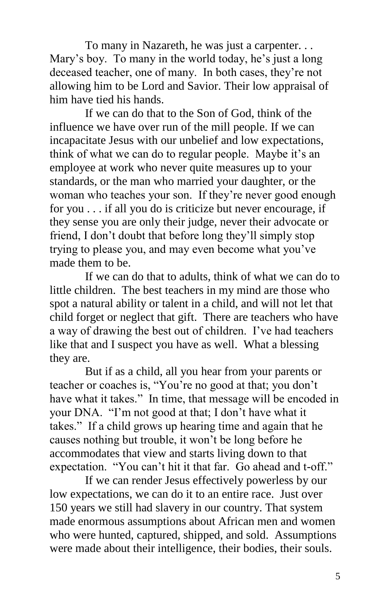To many in Nazareth, he was just a carpenter. . . Mary's boy. To many in the world today, he's just a long deceased teacher, one of many. In both cases, they're not allowing him to be Lord and Savior. Their low appraisal of him have tied his hands.

If we can do that to the Son of God, think of the influence we have over run of the mill people. If we can incapacitate Jesus with our unbelief and low expectations, think of what we can do to regular people. Maybe it's an employee at work who never quite measures up to your standards, or the man who married your daughter, or the woman who teaches your son. If they're never good enough for you . . . if all you do is criticize but never encourage, if they sense you are only their judge, never their advocate or friend, I don't doubt that before long they'll simply stop trying to please you, and may even become what you've made them to be.

If we can do that to adults, think of what we can do to little children. The best teachers in my mind are those who spot a natural ability or talent in a child, and will not let that child forget or neglect that gift. There are teachers who have a way of drawing the best out of children. I've had teachers like that and I suspect you have as well. What a blessing they are.

But if as a child, all you hear from your parents or teacher or coaches is, "You're no good at that; you don't have what it takes." In time, that message will be encoded in your DNA. "I'm not good at that; I don't have what it takes." If a child grows up hearing time and again that he causes nothing but trouble, it won't be long before he accommodates that view and starts living down to that expectation. "You can't hit it that far. Go ahead and t-off."

If we can render Jesus effectively powerless by our low expectations, we can do it to an entire race. Just over 150 years we still had slavery in our country. That system made enormous assumptions about African men and women who were hunted, captured, shipped, and sold. Assumptions were made about their intelligence, their bodies, their souls.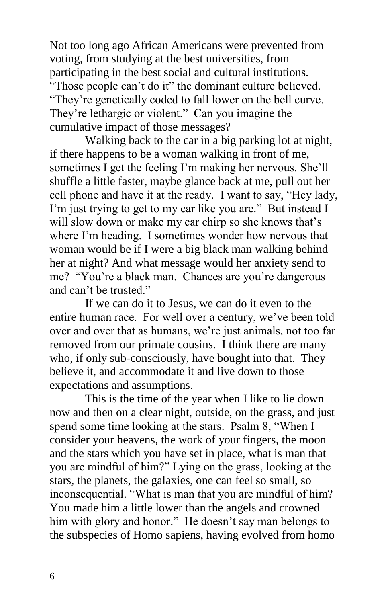Not too long ago African Americans were prevented from voting, from studying at the best universities, from participating in the best social and cultural institutions. "Those people can't do it" the dominant culture believed. "They're genetically coded to fall lower on the bell curve. They're lethargic or violent." Can you imagine the cumulative impact of those messages?

Walking back to the car in a big parking lot at night, if there happens to be a woman walking in front of me, sometimes I get the feeling I'm making her nervous. She'll shuffle a little faster, maybe glance back at me, pull out her cell phone and have it at the ready. I want to say, "Hey lady, I'm just trying to get to my car like you are." But instead I will slow down or make my car chirp so she knows that's where I'm heading. I sometimes wonder how nervous that woman would be if I were a big black man walking behind her at night? And what message would her anxiety send to me? "You're a black man. Chances are you're dangerous and can't be trusted."

If we can do it to Jesus, we can do it even to the entire human race. For well over a century, we've been told over and over that as humans, we're just animals, not too far removed from our primate cousins. I think there are many who, if only sub-consciously, have bought into that. They believe it, and accommodate it and live down to those expectations and assumptions.

This is the time of the year when I like to lie down now and then on a clear night, outside, on the grass, and just spend some time looking at the stars. Psalm 8, "When I consider your heavens, the work of your fingers, the moon and the stars which you have set in place, what is man that you are mindful of him?" Lying on the grass, looking at the stars, the planets, the galaxies, one can feel so small, so inconsequential. "What is man that you are mindful of him? You made him a little lower than the angels and crowned him with glory and honor." He doesn't say man belongs to the subspecies of Homo sapiens, having evolved from homo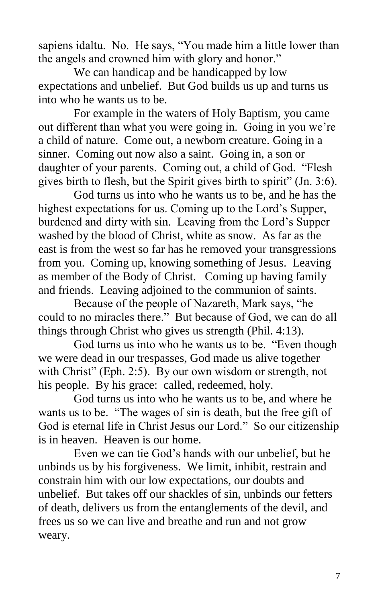sapiens idaltu. No. He says, "You made him a little lower than the angels and crowned him with glory and honor."

We can handicap and be handicapped by low expectations and unbelief. But God builds us up and turns us into who he wants us to be.

For example in the waters of Holy Baptism, you came out different than what you were going in. Going in you we're a child of nature. Come out, a newborn creature. Going in a sinner. Coming out now also a saint. Going in, a son or daughter of your parents. Coming out, a child of God. "Flesh gives birth to flesh, but the Spirit gives birth to spirit" (Jn. 3:6).

God turns us into who he wants us to be, and he has the highest expectations for us. Coming up to the Lord's Supper, burdened and dirty with sin. Leaving from the Lord's Supper washed by the blood of Christ, white as snow. As far as the east is from the west so far has he removed your transgressions from you. Coming up, knowing something of Jesus. Leaving as member of the Body of Christ. Coming up having family and friends. Leaving adjoined to the communion of saints.

Because of the people of Nazareth, Mark says, "he could to no miracles there." But because of God, we can do all things through Christ who gives us strength (Phil. 4:13).

God turns us into who he wants us to be. "Even though we were dead in our trespasses, God made us alive together with Christ" (Eph. 2:5). By our own wisdom or strength, not his people. By his grace: called, redeemed, holy.

God turns us into who he wants us to be, and where he wants us to be. "The wages of sin is death, but the free gift of God is eternal life in Christ Jesus our Lord." So our citizenship is in heaven. Heaven is our home.

Even we can tie God's hands with our unbelief, but he unbinds us by his forgiveness. We limit, inhibit, restrain and constrain him with our low expectations, our doubts and unbelief. But takes off our shackles of sin, unbinds our fetters of death, delivers us from the entanglements of the devil, and frees us so we can live and breathe and run and not grow weary.